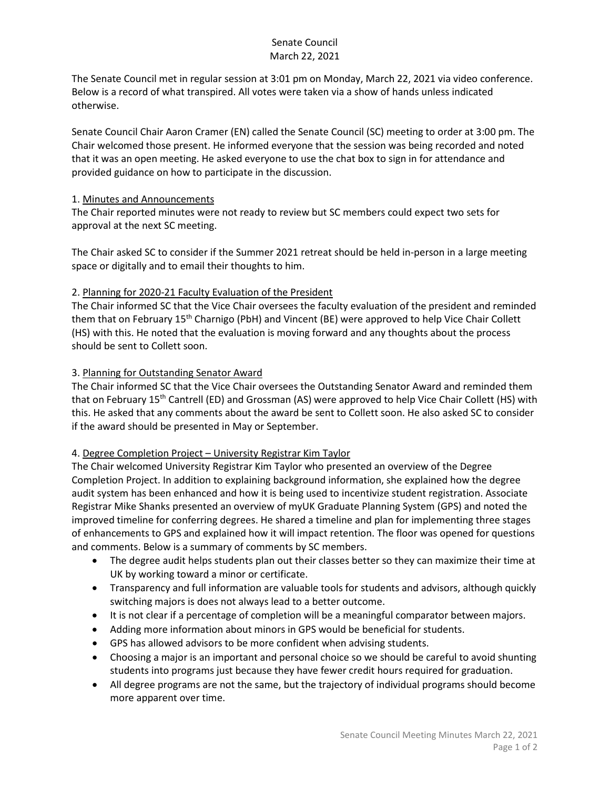# Senate Council March 22, 2021

The Senate Council met in regular session at 3:01 pm on Monday, March 22, 2021 via video conference. Below is a record of what transpired. All votes were taken via a show of hands unless indicated otherwise.

Senate Council Chair Aaron Cramer (EN) called the Senate Council (SC) meeting to order at 3:00 pm. The Chair welcomed those present. He informed everyone that the session was being recorded and noted that it was an open meeting. He asked everyone to use the chat box to sign in for attendance and provided guidance on how to participate in the discussion.

### 1. Minutes and Announcements

The Chair reported minutes were not ready to review but SC members could expect two sets for approval at the next SC meeting.

The Chair asked SC to consider if the Summer 2021 retreat should be held in-person in a large meeting space or digitally and to email their thoughts to him.

# 2. Planning for 2020-21 Faculty Evaluation of the President

The Chair informed SC that the Vice Chair oversees the faculty evaluation of the president and reminded them that on February 15<sup>th</sup> Charnigo (PbH) and Vincent (BE) were approved to help Vice Chair Collett (HS) with this. He noted that the evaluation is moving forward and any thoughts about the process should be sent to Collett soon.

### 3. Planning for Outstanding Senator Award

The Chair informed SC that the Vice Chair oversees the Outstanding Senator Award and reminded them that on February 15<sup>th</sup> Cantrell (ED) and Grossman (AS) were approved to help Vice Chair Collett (HS) with this. He asked that any comments about the award be sent to Collett soon. He also asked SC to consider if the award should be presented in May or September.

#### 4. Degree Completion Project – University Registrar Kim Taylor

The Chair welcomed University Registrar Kim Taylor who presented an overview of the Degree Completion Project. In addition to explaining background information, she explained how the degree audit system has been enhanced and how it is being used to incentivize student registration. Associate Registrar Mike Shanks presented an overview of myUK Graduate Planning System (GPS) and noted the improved timeline for conferring degrees. He shared a timeline and plan for implementing three stages of enhancements to GPS and explained how it will impact retention. The floor was opened for questions and comments. Below is a summary of comments by SC members.

- The degree audit helps students plan out their classes better so they can maximize their time at UK by working toward a minor or certificate.
- Transparency and full information are valuable tools for students and advisors, although quickly switching majors is does not always lead to a better outcome.
- It is not clear if a percentage of completion will be a meaningful comparator between majors.
- Adding more information about minors in GPS would be beneficial for students.
- GPS has allowed advisors to be more confident when advising students.
- Choosing a major is an important and personal choice so we should be careful to avoid shunting students into programs just because they have fewer credit hours required for graduation.
- All degree programs are not the same, but the trajectory of individual programs should become more apparent over time.